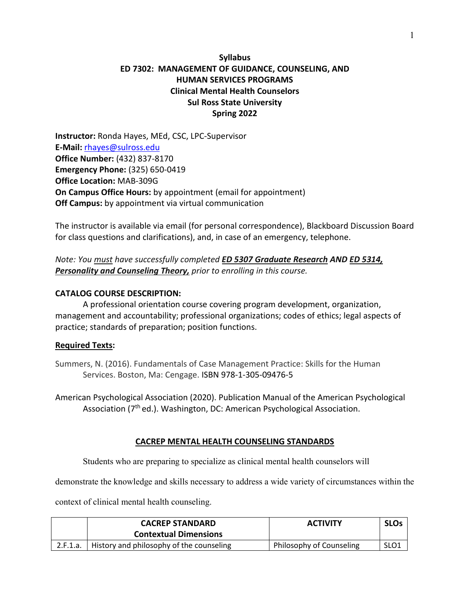# **Syllabus ED 7302: MANAGEMENT OF GUIDANCE, COUNSELING, AND HUMAN SERVICES PROGRAMS Clinical Mental Health Counselors Sul Ross State University Spring 2022**

**Instructor:** Ronda Hayes, MEd, CSC, LPC-Supervisor **E-Mail:** [rhayes@sulross.edu](mailto:rhayes@sulross.edu) **Office Number:** (432) 837-8170 **Emergency Phone:** (325) 650-0419 **Office Location:** MAB-309G **On Campus Office Hours:** by appointment (email for appointment) **Off Campus:** by appointment via virtual communication

The instructor is available via email (for personal correspondence), Blackboard Discussion Board for class questions and clarifications), and, in case of an emergency, telephone.

*Note: You must have successfully completed ED 5307 Graduate Research AND ED 5314, Personality and Counseling Theory, prior to enrolling in this course.*

### **CATALOG COURSE DESCRIPTION:**

A professional orientation course covering program development, organization, management and accountability; professional organizations; codes of ethics; legal aspects of practice; standards of preparation; position functions.

#### **Required Texts:**

Summers, N. (2016). Fundamentals of Case Management Practice: Skills for the Human Services. Boston, Ma: Cengage. ISBN 978-1-305-09476-5

American Psychological Association (2020). Publication Manual of the American Psychological Association (7<sup>th</sup> ed.). Washington, DC: American Psychological Association.

#### **CACREP MENTAL HEALTH COUNSELING STANDARDS**

Students who are preparing to specialize as clinical mental health counselors will

demonstrate the knowledge and skills necessary to address a wide variety of circumstances within the

context of clinical mental health counseling.

|          | <b>CACREP STANDARD</b>                   | <b>ACTIVITY</b>          | <b>SLOs</b>      |
|----------|------------------------------------------|--------------------------|------------------|
|          | <b>Contextual Dimensions</b>             |                          |                  |
| 2.F.1.a. | History and philosophy of the counseling | Philosophy of Counseling | SLO <sub>1</sub> |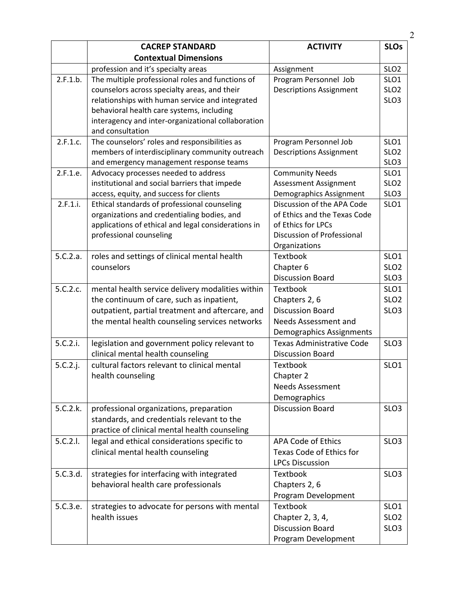|          | <b>CACREP STANDARD</b>                                                                             | <b>ACTIVITY</b>                                       | <b>SLOs</b>      |
|----------|----------------------------------------------------------------------------------------------------|-------------------------------------------------------|------------------|
|          | <b>Contextual Dimensions</b>                                                                       |                                                       |                  |
|          | profession and it's specialty areas                                                                | Assignment                                            | SLO <sub>2</sub> |
| 2.F.1.b. | The multiple professional roles and functions of                                                   | Program Personnel Job                                 | SLO <sub>1</sub> |
|          | counselors across specialty areas, and their                                                       | <b>Descriptions Assignment</b>                        | SLO <sub>2</sub> |
|          | relationships with human service and integrated                                                    |                                                       | SLO <sub>3</sub> |
|          | behavioral health care systems, including                                                          |                                                       |                  |
|          | interagency and inter-organizational collaboration                                                 |                                                       |                  |
|          | and consultation                                                                                   |                                                       |                  |
| 2.F.1.c. | The counselors' roles and responsibilities as                                                      | Program Personnel Job                                 | SLO1             |
|          | members of interdisciplinary community outreach                                                    | <b>Descriptions Assignment</b>                        | SLO <sub>2</sub> |
|          | and emergency management response teams                                                            |                                                       | SLO <sub>3</sub> |
| 2.F.1.e. | Advocacy processes needed to address                                                               | <b>Community Needs</b>                                | SLO <sub>1</sub> |
|          | institutional and social barriers that impede                                                      | Assessment Assignment                                 | SLO <sub>2</sub> |
|          | access, equity, and success for clients                                                            | Demographics Assignment<br>Discussion of the APA Code | SLO <sub>3</sub> |
| 2.F.1.i. | Ethical standards of professional counseling                                                       | of Ethics and the Texas Code                          | SLO <sub>1</sub> |
|          | organizations and credentialing bodies, and<br>applications of ethical and legal considerations in | of Ethics for LPCs                                    |                  |
|          | professional counseling                                                                            | Discussion of Professional                            |                  |
|          |                                                                                                    | Organizations                                         |                  |
| 5.C.2.a. | roles and settings of clinical mental health                                                       | <b>Textbook</b>                                       | SLO <sub>1</sub> |
|          | counselors                                                                                         | Chapter 6                                             | SLO <sub>2</sub> |
|          |                                                                                                    | <b>Discussion Board</b>                               | SLO <sub>3</sub> |
| 5.C.2.c. | mental health service delivery modalities within                                                   | Textbook                                              | SLO1             |
|          | the continuum of care, such as inpatient,                                                          | Chapters 2, 6                                         | SLO <sub>2</sub> |
|          | outpatient, partial treatment and aftercare, and                                                   | <b>Discussion Board</b>                               | SLO <sub>3</sub> |
|          | the mental health counseling services networks                                                     | Needs Assessment and                                  |                  |
|          |                                                                                                    | Demographics Assignments                              |                  |
| 5.C.2.i. | legislation and government policy relevant to                                                      | <b>Texas Administrative Code</b>                      | SLO <sub>3</sub> |
|          | clinical mental health counseling                                                                  | <b>Discussion Board</b>                               |                  |
| 5.C.2.j. | cultural factors relevant to clinical mental                                                       | <b>Textbook</b>                                       | SLO <sub>1</sub> |
|          | health counseling                                                                                  | Chapter 2                                             |                  |
|          |                                                                                                    | <b>Needs Assessment</b>                               |                  |
|          |                                                                                                    | Demographics                                          |                  |
| 5.C.2.k. | professional organizations, preparation                                                            | <b>Discussion Board</b>                               | SLO <sub>3</sub> |
|          | standards, and credentials relevant to the                                                         |                                                       |                  |
|          | practice of clinical mental health counseling                                                      |                                                       |                  |
| 5.C.2.l. | legal and ethical considerations specific to                                                       | <b>APA Code of Ethics</b>                             | SLO <sub>3</sub> |
|          | clinical mental health counseling                                                                  | Texas Code of Ethics for                              |                  |
|          |                                                                                                    | <b>LPCs Discussion</b>                                |                  |
| 5.C.3.d. | strategies for interfacing with integrated                                                         | <b>Textbook</b>                                       | SLO <sub>3</sub> |
|          | behavioral health care professionals                                                               | Chapters 2, 6                                         |                  |
|          |                                                                                                    | Program Development                                   |                  |
| 5.C.3.e. | strategies to advocate for persons with mental                                                     | <b>Textbook</b>                                       | SLO1             |
|          | health issues                                                                                      | Chapter 2, 3, 4,                                      | SLO <sub>2</sub> |
|          |                                                                                                    | <b>Discussion Board</b>                               | SLO <sub>3</sub> |
|          |                                                                                                    | Program Development                                   |                  |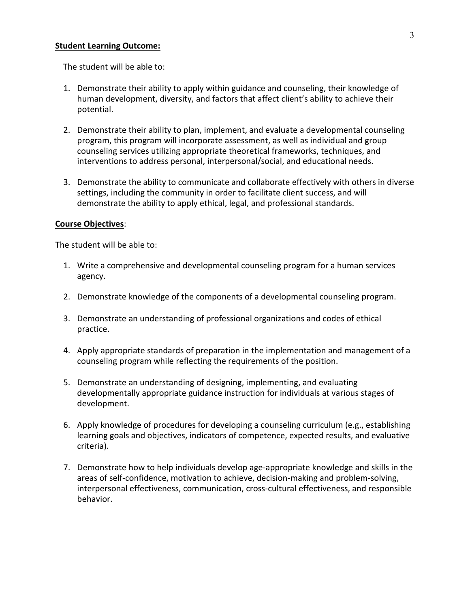#### **Student Learning Outcome:**

The student will be able to:

- 1. Demonstrate their ability to apply within guidance and counseling, their knowledge of human development, diversity, and factors that affect client's ability to achieve their potential.
- 2. Demonstrate their ability to plan, implement, and evaluate a developmental counseling program, this program will incorporate assessment, as well as individual and group counseling services utilizing appropriate theoretical frameworks, techniques, and interventions to address personal, interpersonal/social, and educational needs.
- 3. Demonstrate the ability to communicate and collaborate effectively with others in diverse settings, including the community in order to facilitate client success, and will demonstrate the ability to apply ethical, legal, and professional standards.

#### **Course Objectives**:

The student will be able to:

- 1. Write a comprehensive and developmental counseling program for a human services agency.
- 2. Demonstrate knowledge of the components of a developmental counseling program.
- 3. Demonstrate an understanding of professional organizations and codes of ethical practice.
- 4. Apply appropriate standards of preparation in the implementation and management of a counseling program while reflecting the requirements of the position.
- 5. Demonstrate an understanding of designing, implementing, and evaluating developmentally appropriate guidance instruction for individuals at various stages of development.
- 6. Apply knowledge of procedures for developing a counseling curriculum (e.g., establishing learning goals and objectives, indicators of competence, expected results, and evaluative criteria).
- 7. Demonstrate how to help individuals develop age-appropriate knowledge and skills in the areas of self-confidence, motivation to achieve, decision-making and problem-solving, interpersonal effectiveness, communication, cross-cultural effectiveness, and responsible behavior.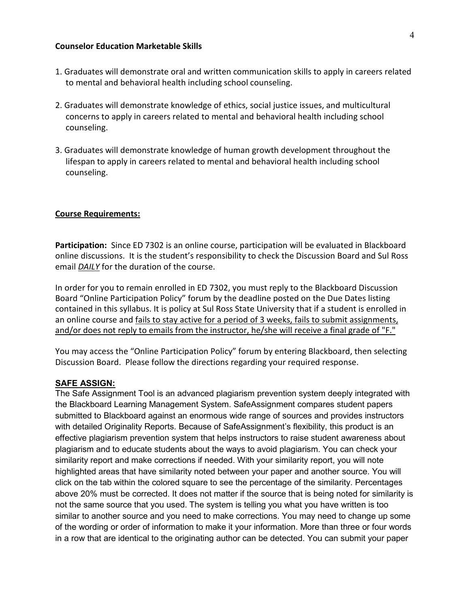#### **Counselor Education Marketable Skills**

- 1. Graduates will demonstrate oral and written communication skills to apply in careers related to mental and behavioral health including school counseling.
- 2. Graduates will demonstrate knowledge of ethics, social justice issues, and multicultural concerns to apply in careers related to mental and behavioral health including school counseling.
- 3. Graduates will demonstrate knowledge of human growth development throughout the lifespan to apply in careers related to mental and behavioral health including school counseling.

#### **Course Requirements:**

**Participation:** Since ED 7302 is an online course, participation will be evaluated in Blackboard online discussions. It is the student's responsibility to check the Discussion Board and Sul Ross email *DAILY* for the duration of the course.

In order for you to remain enrolled in ED 7302, you must reply to the Blackboard Discussion Board "Online Participation Policy" forum by the deadline posted on the Due Dates listing contained in this syllabus. It is policy at Sul Ross State University that if a student is enrolled in an online course and fails to stay active for a period of 3 weeks, fails to submit assignments, and/or does not reply to emails from the instructor, he/she will receive a final grade of "F."

You may access the "Online Participation Policy" forum by entering Blackboard, then selecting Discussion Board. Please follow the directions regarding your required response.

## **SAFE ASSIGN:**

The Safe Assignment Tool is an advanced plagiarism prevention system deeply integrated with the Blackboard Learning Management System. SafeAssignment compares student papers submitted to Blackboard against an enormous wide range of sources and provides instructors with detailed Originality Reports. Because of SafeAssignment's flexibility, this product is an effective plagiarism prevention system that helps instructors to raise student awareness about plagiarism and to educate students about the ways to avoid plagiarism. You can check your similarity report and make corrections if needed. With your similarity report, you will note highlighted areas that have similarity noted between your paper and another source. You will click on the tab within the colored square to see the percentage of the similarity. Percentages above 20% must be corrected. It does not matter if the source that is being noted for similarity is not the same source that you used. The system is telling you what you have written is too similar to another source and you need to make corrections. You may need to change up some of the wording or order of information to make it your information. More than three or four words in a row that are identical to the originating author can be detected. You can submit your paper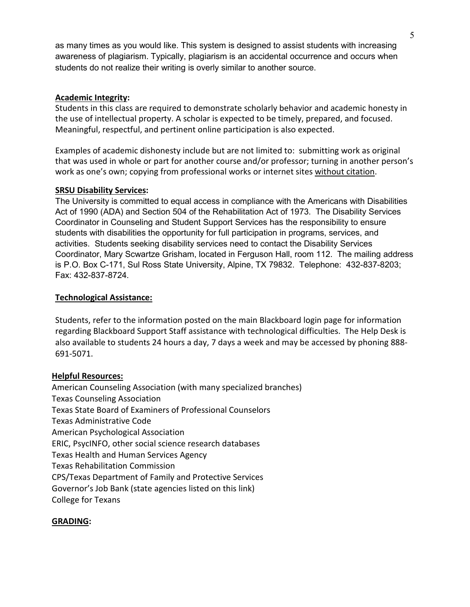as many times as you would like. This system is designed to assist students with increasing awareness of plagiarism. Typically, plagiarism is an accidental occurrence and occurs when students do not realize their writing is overly similar to another source.

### **Academic Integrity:**

Students in this class are required to demonstrate scholarly behavior and academic honesty in the use of intellectual property. A scholar is expected to be timely, prepared, and focused. Meaningful, respectful, and pertinent online participation is also expected.

Examples of academic dishonesty include but are not limited to: submitting work as original that was used in whole or part for another course and/or professor; turning in another person's work as one's own; copying from professional works or internet sites without citation.

## **SRSU Disability Services:**

The University is committed to equal access in compliance with the Americans with Disabilities Act of 1990 (ADA) and Section 504 of the Rehabilitation Act of 1973. The Disability Services Coordinator in Counseling and Student Support Services has the responsibility to ensure students with disabilities the opportunity for full participation in programs, services, and activities. Students seeking disability services need to contact the Disability Services Coordinator, Mary Scwartze Grisham, located in Ferguson Hall, room 112. The mailing address is P.O. Box C-171, Sul Ross State University, Alpine, TX 79832. Telephone: 432-837-8203; Fax: 432-837-8724.

## **Technological Assistance:**

Students, refer to the information posted on the main Blackboard login page for information regarding Blackboard Support Staff assistance with technological difficulties. The Help Desk is also available to students 24 hours a day, 7 days a week and may be accessed by phoning 888- 691-5071.

# **Helpful Resources:**

American Counseling Association (with many specialized branches) Texas Counseling Association Texas State Board of Examiners of Professional Counselors Texas Administrative Code American Psychological Association ERIC, PsycINFO, other social science research databases Texas Health and Human Services Agency Texas Rehabilitation Commission CPS/Texas Department of Family and Protective Services Governor's Job Bank (state agencies listed on this link) College for Texans

# **GRADING:**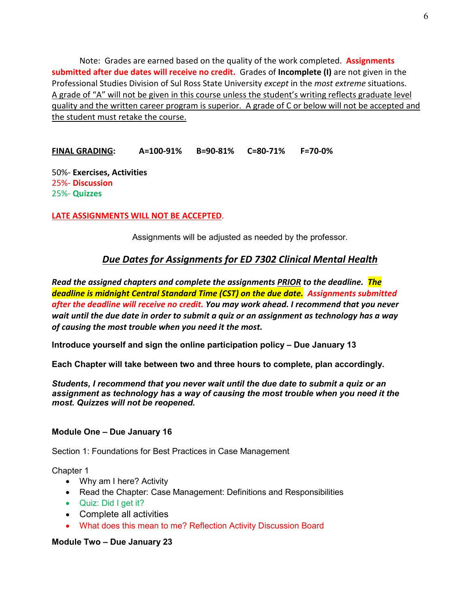Note: Grades are earned based on the quality of the work completed. **Assignments submitted after due dates will receive no credit.** Grades of **Incomplete (I)** are not given in the Professional Studies Division of Sul Ross State University *except* in the *most extreme* situations. A grade of "A" will not be given in this course unless the student's writing reflects graduate level quality and the written career program is superior. A grade of C or below will not be accepted and the student must retake the course.

**FINAL GRADING: A=100-91% B=90-81% C=80-71% F=70-0%**

50%- **Exercises, Activities** 25%- **Discussion** 25%- **Quizzes**

**LATE ASSIGNMENTS WILL NOT BE ACCEPTED**.

Assignments will be adjusted as needed by the professor.

# *Due Dates for Assignments for ED 7302 Clinical Mental Health*

*Read the assigned chapters and complete the assignments PRIOR to the deadline. The deadline is midnight Central Standard Time (CST) on the due date. Assignments submitted after the deadline will receive no credit. You may work ahead. I recommend that you never wait until the due date in order to submit a quiz or an assignment as technology has a way of causing the most trouble when you need it the most.* 

**Introduce yourself and sign the online participation policy – Due January 13**

**Each Chapter will take between two and three hours to complete, plan accordingly.**

*Students, I recommend that you never wait until the due date to submit a quiz or an assignment as technology has a way of causing the most trouble when you need it the most. Quizzes will not be reopened.*

#### **Module One – Due January 16**

Section 1: Foundations for Best Practices in Case Management

Chapter 1

- Why am I here? Activity
- Read the Chapter: Case Management: Definitions and Responsibilities
- Quiz: Did I get it?
- Complete all activities
- What does this mean to me? Reflection Activity Discussion Board

### **Module Two – Due January 23**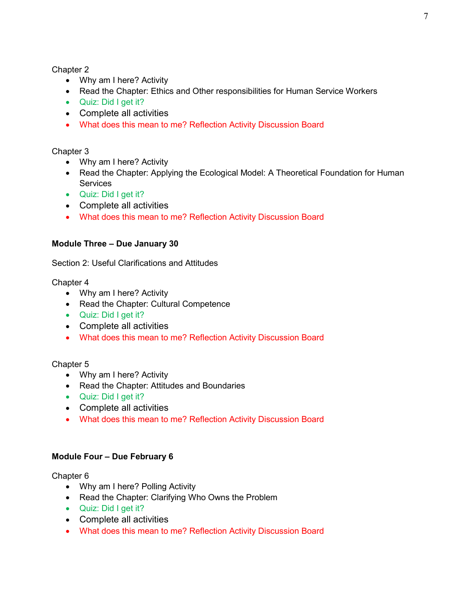- Why am I here? Activity
- Read the Chapter: Ethics and Other responsibilities for Human Service Workers
- Quiz: Did I get it?
- Complete all activities
- What does this mean to me? Reflection Activity Discussion Board

## Chapter 3

- Why am I here? Activity
- Read the Chapter: Applying the Ecological Model: A Theoretical Foundation for Human **Services**
- Quiz: Did I get it?
- Complete all activities
- What does this mean to me? Reflection Activity Discussion Board

### **Module Three – Due January 30**

Section 2: Useful Clarifications and Attitudes

Chapter 4

- Why am I here? Activity
- Read the Chapter: Cultural Competence
- Quiz: Did I get it?
- Complete all activities
- What does this mean to me? Reflection Activity Discussion Board

### Chapter 5

- Why am I here? Activity
- Read the Chapter: Attitudes and Boundaries
- Quiz: Did I get it?
- Complete all activities
- What does this mean to me? Reflection Activity Discussion Board

### **Module Four – Due February 6**

Chapter 6

- Why am I here? Polling Activity
- Read the Chapter: Clarifying Who Owns the Problem
- Quiz: Did I get it?
- Complete all activities
- What does this mean to me? Reflection Activity Discussion Board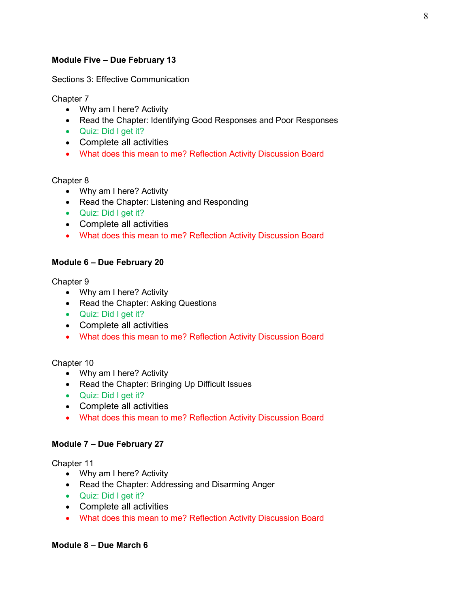## **Module Five – Due February 13**

Sections 3: Effective Communication

Chapter 7

- Why am I here? Activity
- Read the Chapter: Identifying Good Responses and Poor Responses
- Quiz: Did I get it?
- Complete all activities
- What does this mean to me? Reflection Activity Discussion Board

#### Chapter 8

- Why am I here? Activity
- Read the Chapter: Listening and Responding
- Quiz: Did I get it?
- Complete all activities
- What does this mean to me? Reflection Activity Discussion Board

### **Module 6 – Due February 20**

Chapter 9

- Why am I here? Activity
- Read the Chapter: Asking Questions
- Quiz: Did I get it?
- Complete all activities
- What does this mean to me? Reflection Activity Discussion Board

### Chapter 10

- Why am I here? Activity
- Read the Chapter: Bringing Up Difficult Issues
- Quiz: Did I get it?
- Complete all activities
- What does this mean to me? Reflection Activity Discussion Board

#### **Module 7 – Due February 27**

### Chapter 11

- Why am I here? Activity
- Read the Chapter: Addressing and Disarming Anger
- Quiz: Did I get it?
- Complete all activities
- What does this mean to me? Reflection Activity Discussion Board

#### **Module 8 – Due March 6**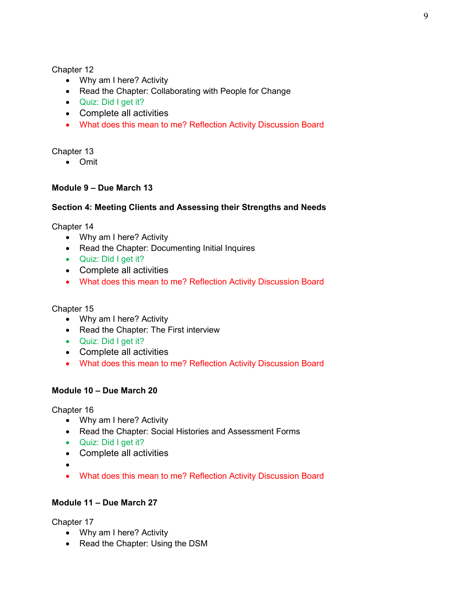- Why am I here? Activity
- Read the Chapter: Collaborating with People for Change
- Quiz: Did I get it?
- Complete all activities
- What does this mean to me? Reflection Activity Discussion Board

Chapter 13

• Omit

# **Module 9 – Due March 13**

### **Section 4: Meeting Clients and Assessing their Strengths and Needs**

Chapter 14

- Why am I here? Activity
- Read the Chapter: Documenting Initial Inquires
- Quiz: Did I get it?
- Complete all activities
- What does this mean to me? Reflection Activity Discussion Board

Chapter 15

- Why am I here? Activity
- Read the Chapter: The First interview
- Quiz: Did I get it?
- Complete all activities
- What does this mean to me? Reflection Activity Discussion Board

### **Module 10 – Due March 20**

Chapter 16

- Why am I here? Activity
- Read the Chapter: Social Histories and Assessment Forms
- Quiz: Did I get it?
- Complete all activities
- •
- What does this mean to me? Reflection Activity Discussion Board

## **Module 11 – Due March 27**

Chapter 17

- Why am I here? Activity
- Read the Chapter: Using the DSM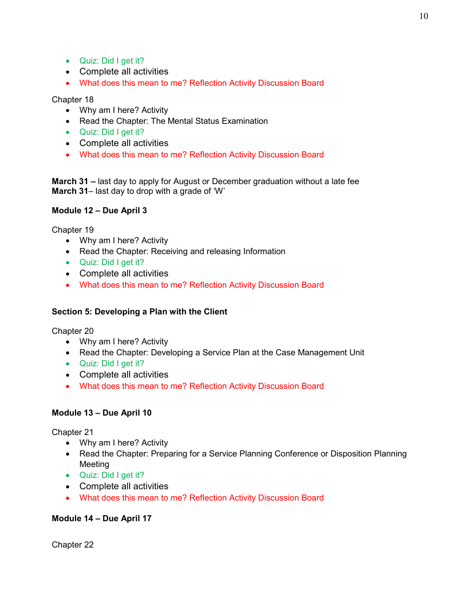- Quiz: Did I get it?
- Complete all activities
- What does this mean to me? Reflection Activity Discussion Board

- Why am I here? Activity
- Read the Chapter: The Mental Status Examination
- Quiz: Did I get it?
- Complete all activities
- What does this mean to me? Reflection Activity Discussion Board

**March 31 –** last day to apply for August or December graduation without a late fee **March 31**– last day to drop with a grade of 'W'

### **Module 12 – Due April 3**

Chapter 19

- Why am I here? Activity
- Read the Chapter: Receiving and releasing Information
- Quiz: Did I get it?
- Complete all activities
- What does this mean to me? Reflection Activity Discussion Board

### **Section 5: Developing a Plan with the Client**

Chapter 20

- Why am I here? Activity
- Read the Chapter: Developing a Service Plan at the Case Management Unit
- Quiz: Did I get it?
- Complete all activities
- What does this mean to me? Reflection Activity Discussion Board

### **Module 13 – Due April 10**

Chapter 21

- Why am I here? Activity
- Read the Chapter: Preparing for a Service Planning Conference or Disposition Planning Meeting
- Quiz: Did I get it?
- Complete all activities
- What does this mean to me? Reflection Activity Discussion Board

### **Module 14 – Due April 17**

Chapter 22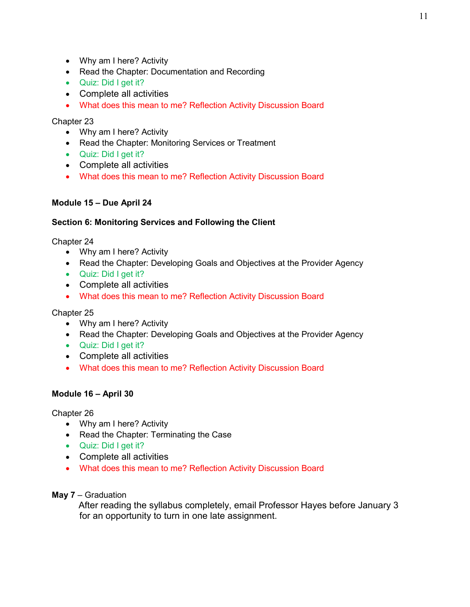- Why am I here? Activity
- Read the Chapter: Documentation and Recording
- Quiz: Did I get it?
- Complete all activities
- What does this mean to me? Reflection Activity Discussion Board

- Why am I here? Activity
- Read the Chapter: Monitoring Services or Treatment
- Quiz: Did I get it?
- Complete all activities
- What does this mean to me? Reflection Activity Discussion Board

# **Module 15 – Due April 24**

## **Section 6: Monitoring Services and Following the Client**

Chapter 24

- Why am I here? Activity
- Read the Chapter: Developing Goals and Objectives at the Provider Agency
- Quiz: Did I get it?
- Complete all activities
- What does this mean to me? Reflection Activity Discussion Board

# Chapter 25

- Why am I here? Activity
- Read the Chapter: Developing Goals and Objectives at the Provider Agency
- Quiz: Did I get it?
- Complete all activities
- What does this mean to me? Reflection Activity Discussion Board

# **Module 16 – April 30**

# Chapter 26

- Why am I here? Activity
- Read the Chapter: Terminating the Case
- Quiz: Did I get it?
- Complete all activities
- What does this mean to me? Reflection Activity Discussion Board

# **May 7** – Graduation

After reading the syllabus completely, email Professor Hayes before January 3 for an opportunity to turn in one late assignment.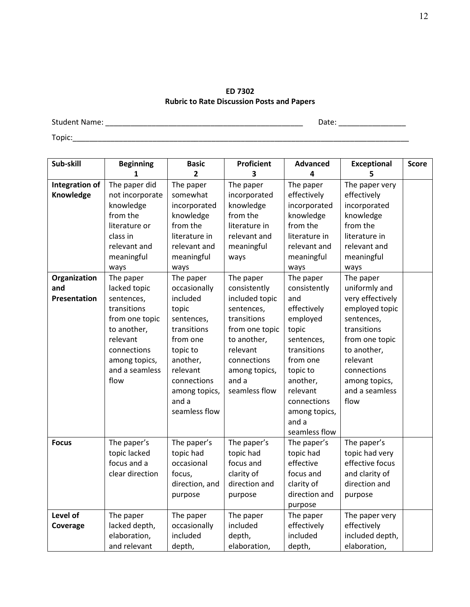#### **ED 7302 Rubric to Rate Discussion Posts and Papers**

Student Name: \_\_\_\_\_\_\_\_\_\_\_\_\_\_\_\_\_\_\_\_\_\_\_\_\_\_\_\_\_\_\_\_\_\_\_\_\_\_\_\_\_\_\_\_\_\_\_ Date: \_\_\_\_\_\_\_\_\_\_\_\_\_\_\_\_

Topic:\_\_\_\_\_\_\_\_\_\_\_\_\_\_\_\_\_\_\_\_\_\_\_\_\_\_\_\_\_\_\_\_\_\_\_\_\_\_\_\_\_\_\_\_\_\_\_\_\_\_\_\_\_\_\_\_\_\_\_\_\_\_\_\_\_\_\_\_\_\_\_\_\_\_\_\_\_\_\_\_

| Sub-skill           | <b>Beginning</b> | <b>Basic</b>             | <b>Proficient</b> | <b>Advanced</b> | <b>Exceptional</b> | <b>Score</b> |
|---------------------|------------------|--------------------------|-------------------|-----------------|--------------------|--------------|
|                     | 1                | $\overline{\phantom{a}}$ | 3                 | 4               |                    |              |
| Integration of      | The paper did    | The paper                | The paper         | The paper       | The paper very     |              |
| Knowledge           | not incorporate  | somewhat                 | incorporated      | effectively     | effectively        |              |
|                     | knowledge        | incorporated             | knowledge         | incorporated    | incorporated       |              |
|                     | from the         | knowledge                | from the          | knowledge       | knowledge          |              |
|                     | literature or    | from the                 | literature in     | from the        | from the           |              |
|                     | class in         | literature in            | relevant and      | literature in   | literature in      |              |
|                     | relevant and     | relevant and             | meaningful        | relevant and    | relevant and       |              |
|                     | meaningful       | meaningful               | ways              | meaningful      | meaningful         |              |
|                     | ways             | ways                     |                   | ways            | ways               |              |
| Organization        | The paper        | The paper                | The paper         | The paper       | The paper          |              |
| and                 | lacked topic     | occasionally             | consistently      | consistently    | uniformly and      |              |
| <b>Presentation</b> | sentences,       | included                 | included topic    | and             | very effectively   |              |
|                     | transitions      | topic                    | sentences,        | effectively     | employed topic     |              |
|                     | from one topic   | sentences,               | transitions       | employed        | sentences,         |              |
|                     | to another,      | transitions              | from one topic    | topic           | transitions        |              |
|                     | relevant         | from one                 | to another,       | sentences,      | from one topic     |              |
|                     | connections      | topic to                 | relevant          | transitions     | to another,        |              |
|                     | among topics,    | another,                 | connections       | from one        | relevant           |              |
|                     | and a seamless   | relevant                 | among topics,     | topic to        | connections        |              |
|                     | flow             | connections              | and a             | another,        | among topics,      |              |
|                     |                  | among topics,            | seamless flow     | relevant        | and a seamless     |              |
|                     |                  | and a                    |                   | connections     | flow               |              |
|                     |                  | seamless flow            |                   | among topics,   |                    |              |
|                     |                  |                          |                   | and a           |                    |              |
|                     |                  |                          |                   | seamless flow   |                    |              |
| <b>Focus</b>        | The paper's      | The paper's              | The paper's       | The paper's     | The paper's        |              |
|                     | topic lacked     | topic had                | topic had         | topic had       | topic had very     |              |
|                     | focus and a      | occasional               | focus and         | effective       | effective focus    |              |
|                     | clear direction  | focus,                   | clarity of        | focus and       | and clarity of     |              |
|                     |                  | direction, and           | direction and     | clarity of      | direction and      |              |
|                     |                  | purpose                  | purpose           | direction and   | purpose            |              |
|                     |                  |                          |                   | purpose         |                    |              |
| Level of            | The paper        | The paper                | The paper         | The paper       | The paper very     |              |
| Coverage            | lacked depth,    | occasionally             | included          | effectively     | effectively        |              |
|                     | elaboration,     | included                 | depth,            | included        | included depth,    |              |
|                     | and relevant     | depth,                   | elaboration,      | depth,          | elaboration,       |              |